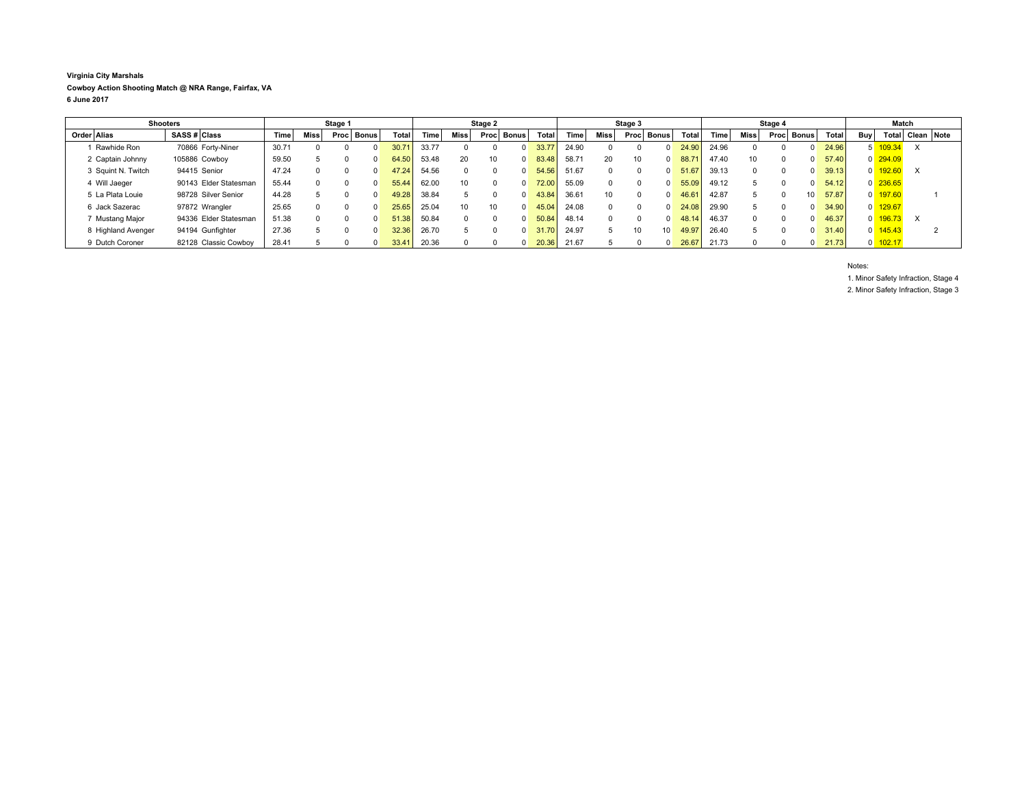**Virginia City Marshals Cowboy Action Shooting Match @ NRA Range, Fairfax, VA 6 June 2017**

| <b>Shooters</b>    |                       | Stage 1 |              |      |              | Stage 2      |       |                 |                 | Stage 3      |       |       | Stage 4  |            |       |             | Match |      |                 |              |                |                       |            |  |
|--------------------|-----------------------|---------|--------------|------|--------------|--------------|-------|-----------------|-----------------|--------------|-------|-------|----------|------------|-------|-------------|-------|------|-----------------|--------------|----------------|-----------------------|------------|--|
| Order   Alias      | <b>SASS # Class</b>   | Time    | Miss         | Proc | <b>Bonus</b> | <b>Total</b> | Time  | Miss            | Proc            | Bonus        | Total | Time  | Miss     | Proc Bonus | Total | <b>Time</b> | Miss  | Proc | Bonus l         | <b>Total</b> | <b>Buv</b>     | Total                 | Clean Note |  |
| Rawhide Ron        | 70866 Forty-Niner     | 30.71   |              |      |              |              | 33.77 |                 |                 |              | 33.77 | 24.90 |          |            | 24.90 | 24.96       |       |      |                 | 24.96        |                | 109.34                | $\times$   |  |
| 2 Captain Johnny   | 105886 Cowboy         | 59.50   |              |      |              | 64.50        | 53.48 | 20              | 10 <sup>1</sup> | $\Omega$     | 83.48 | 58.71 | 20       | 10         | 88.71 | 47.40       | 10    | 0    |                 | 57.40        |                | $0\overline{294.09}$  |            |  |
| 3 Squint N. Twitch | 94415 Senior          | 47.24   |              |      |              | 47.24        | 54.56 |                 |                 | $\Omega$     | 54.56 | 51.67 | $\Omega$ |            | 51.67 | 39.13       |       |      |                 | 39.13        | $\overline{0}$ | 192.60                | $\times$   |  |
| 4 Will Jaeger      | 90143 Elder Statesman | 55.44   | <sup>0</sup> |      |              | 55.44        | 62.00 | 10              |                 | $\Omega$     | 72.00 | 55.09 |          |            | 55.09 | 49.12       |       |      |                 | 54.12        |                | $0\overline{236.65}$  |            |  |
| 5 La Plata Louie   | 98728 Silver Senior   | 44.28   |              |      |              | 49.28        | 38.84 |                 |                 | <sup>n</sup> | 43.84 | 36.61 | 10       |            | 46.61 | 42.87       |       |      | 10 <sup>1</sup> | 57.87        |                | $0$ 197.60            |            |  |
| 6 Jack Sazerac     | 97872 Wrangler        | 25.65   |              |      |              | 25.65        | 25.04 | 10 <sup>1</sup> | 10 <sup>1</sup> | $\Omega$     | 45.04 | 24.08 |          |            | 24.08 | 29.90       |       |      |                 | 34.90        |                | $0$ 129.67            |            |  |
| 7 Mustang Major    | 94336 Elder Statesman | 51.38   | $\Omega$     |      |              | 51.38        | 50.84 |                 |                 | $\Omega$     | 50.84 | 48.14 |          |            | 48.14 | 46.37       |       |      |                 | 46.37        | $\overline{0}$ | 196.73                | $\times$   |  |
| 8 Highland Avenger | 94194 Gunfighter      | 27.36   |              |      |              | 32.36        | 26.70 |                 |                 | $\Omega$     | 31.70 | 24.97 |          | 10         | 49.97 | 26.40       |       |      |                 | 31.40        |                | $0 \overline{145.43}$ |            |  |
| 9 Dutch Coroner    | 82128 Classic Cowboy  | 28.41   |              |      |              | 33.41        | 20.36 |                 |                 | $\Omega$     | 20.36 | 21.67 |          |            | 26.67 | 21.73       |       |      |                 | 21.73        |                | $0 \overline{102.17}$ |            |  |

Notes: 1. Minor Safety Infraction, Stage 4 2. Minor Safety Infraction, Stage 3